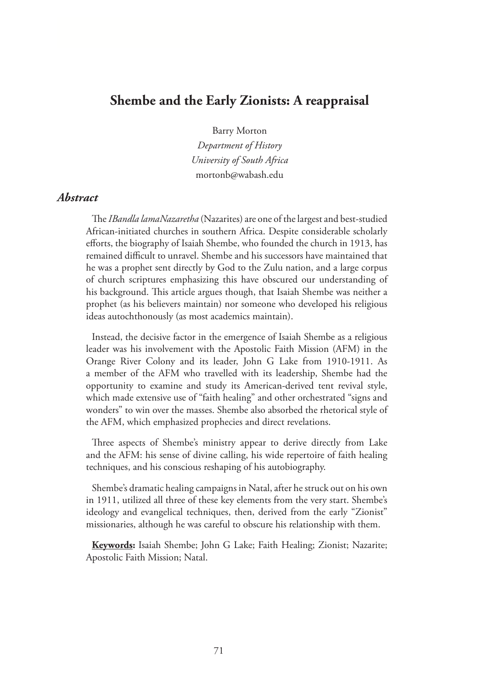# **Shembe and the Early Zionists: A reappraisal**

Barry Morton

*Department of History University of South Africa* mortonb@wabash.edu

### *Abstract*

The *IBandla lamaNazaretha* (Nazarites) are one of the largest and best-studied African-initiated churches in southern Africa. Despite considerable scholarly efforts, the biography of Isaiah Shembe, who founded the church in 1913, has remained difficult to unravel. Shembe and his successors have maintained that he was a prophet sent directly by God to the Zulu nation, and a large corpus of church scriptures emphasizing this have obscured our understanding of his background. This article argues though, that Isaiah Shembe was neither a prophet (as his believers maintain) nor someone who developed his religious ideas autochthonously (as most academics maintain).

Instead, the decisive factor in the emergence of Isaiah Shembe as a religious leader was his involvement with the Apostolic Faith Mission (AFM) in the Orange River Colony and its leader, John G Lake from 1910-1911. As a member of the AFM who travelled with its leadership, Shembe had the opportunity to examine and study its American-derived tent revival style, which made extensive use of "faith healing" and other orchestrated "signs and wonders" to win over the masses. Shembe also absorbed the rhetorical style of the AFM, which emphasized prophecies and direct revelations.

Three aspects of Shembe's ministry appear to derive directly from Lake and the AFM: his sense of divine calling, his wide repertoire of faith healing techniques, and his conscious reshaping of his autobiography.

Shembe's dramatic healing campaigns in Natal, after he struck out on his own in 1911, utilized all three of these key elements from the very start. Shembe's ideology and evangelical techniques, then, derived from the early "Zionist" missionaries, although he was careful to obscure his relationship with them.

**Keywords:** Isaiah Shembe; John G Lake; Faith Healing; Zionist; Nazarite; Apostolic Faith Mission; Natal.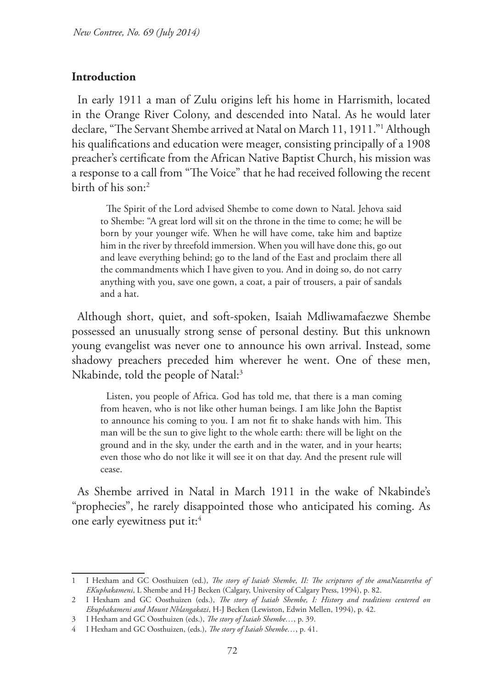#### **Introduction**

In early 1911 a man of Zulu origins left his home in Harrismith, located in the Orange River Colony, and descended into Natal. As he would later declare, "The Servant Shembe arrived at Natal on March 11, 1911."1 Although his qualifications and education were meager, consisting principally of a 1908 preacher's certificate from the African Native Baptist Church, his mission was a response to a call from "The Voice" that he had received following the recent birth of his son:2

The Spirit of the Lord advised Shembe to come down to Natal. Jehova said to Shembe: "A great lord will sit on the throne in the time to come; he will be born by your younger wife. When he will have come, take him and baptize him in the river by threefold immersion. When you will have done this, go out and leave everything behind; go to the land of the East and proclaim there all the commandments which I have given to you. And in doing so, do not carry anything with you, save one gown, a coat, a pair of trousers, a pair of sandals and a hat.

Although short, quiet, and soft-spoken, Isaiah Mdliwamafaezwe Shembe possessed an unusually strong sense of personal destiny. But this unknown young evangelist was never one to announce his own arrival. Instead, some shadowy preachers preceded him wherever he went. One of these men, Nkabinde, told the people of Natal:<sup>3</sup>

Listen, you people of Africa. God has told me, that there is a man coming from heaven, who is not like other human beings. I am like John the Baptist to announce his coming to you. I am not fit to shake hands with him. This man will be the sun to give light to the whole earth: there will be light on the ground and in the sky, under the earth and in the water, and in your hearts; even those who do not like it will see it on that day. And the present rule will cease.

As Shembe arrived in Natal in March 1911 in the wake of Nkabinde's "prophecies", he rarely disappointed those who anticipated his coming. As one early eyewitness put it:4

<sup>1</sup> I Hexham and GC Oosthuizen (ed.), *The story of Isaiah Shembe, II: The scriptures of the amaNazaretha of EKuphakameni*, L Shembe and H-J Becken (Calgary, University of Calgary Press, 1994), p. 82.

<sup>2</sup> I Hexham and GC Oosthuizen (eds.), *The story of Isaiah Shembe, I: History and traditions centered on Ekuphakameni and Mount Nhlangakazi*, H-J Becken (Lewiston, Edwin Mellen, 1994), p. 42.

<sup>3</sup> I Hexham and GC Oosthuizen (eds.), *The story of Isaiah Shembe…*, p. 39.

<sup>4</sup> I Hexham and GC Oosthuizen, (eds.), *The story of Isaiah Shembe…*, p. 41.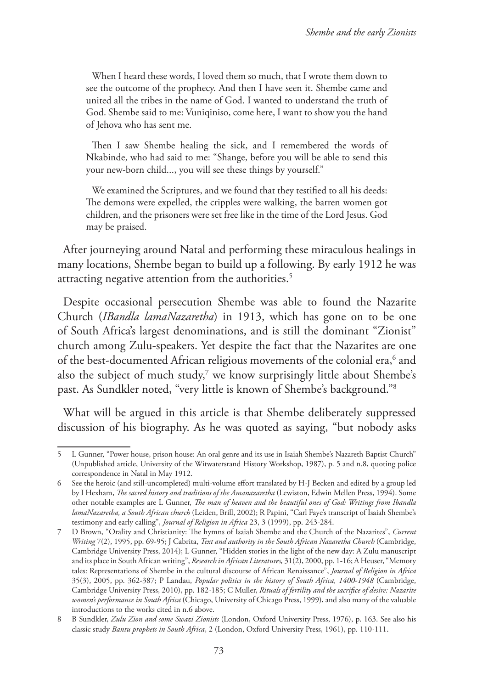When I heard these words, I loved them so much, that I wrote them down to see the outcome of the prophecy. And then I have seen it. Shembe came and united all the tribes in the name of God. I wanted to understand the truth of God. Shembe said to me: Vuniqiniso, come here, I want to show you the hand of Jehova who has sent me.

Then I saw Shembe healing the sick, and I remembered the words of Nkabinde, who had said to me: "Shange, before you will be able to send this your new-born child..., you will see these things by yourself."

We examined the Scriptures, and we found that they testified to all his deeds: The demons were expelled, the cripples were walking, the barren women got children, and the prisoners were set free like in the time of the Lord Jesus. God may be praised.

After journeying around Natal and performing these miraculous healings in many locations, Shembe began to build up a following. By early 1912 he was attracting negative attention from the authorities.<sup>5</sup>

Despite occasional persecution Shembe was able to found the Nazarite Church (*IBandla lamaNazaretha*) in 1913, which has gone on to be one of South Africa's largest denominations, and is still the dominant "Zionist" church among Zulu-speakers. Yet despite the fact that the Nazarites are one of the best-documented African religious movements of the colonial era,<sup>6</sup> and also the subject of much study, $7$  we know surprisingly little about Shembe's past. As Sundkler noted, "very little is known of Shembe's background."8

What will be argued in this article is that Shembe deliberately suppressed discussion of his biography. As he was quoted as saying, "but nobody asks

<sup>5</sup> L Gunner, "Power house, prison house: An oral genre and its use in Isaiah Shembe's Nazareth Baptist Church" (Unpublished article, University of the Witwatersrand History Workshop, 1987), p. 5 and n.8, quoting police correspondence in Natal in May 1912.

<sup>6</sup> See the heroic (and still-uncompleted) multi-volume effort translated by H-J Becken and edited by a group led by I Hexham, *The sacred history and traditions of the Amanazaretha* (Lewiston, Edwin Mellen Press, 1994). Some other notable examples are L Gunner, *The man of heaven and the beautiful ones of God: Writings from Ibandla lamaNazaretha, a South African church* (Leiden, Brill, 2002); R Papini, "Carl Faye's transcript of Isaiah Shembe's testimony and early calling", *Journal of Religion in Africa* 23, 3 (1999), pp. 243-284.

<sup>7</sup> D Brown, "Orality and Christianity: The hymns of Isaiah Shembe and the Church of the Nazarites", *Current Writing* 7(2), 1995, pp. 69-95; J Cabrita, *Text and authority in the South African Nazaretha Church* (Cambridge, Cambridge University Press, 2014); L Gunner, "Hidden stories in the light of the new day: A Zulu manuscript and its place in South African writing", *Research in African Literatures,* 31(2), 2000, pp. 1-16; A Heuser, "Memory tales: Representations of Shembe in the cultural discourse of African Renaissance", *Journal of Religion in Africa* 35(3), 2005, pp. 362-387; P Landau, *Popular politics in the history of South Africa, 1400-1948* (Cambridge, Cambridge University Press, 2010), pp. 182-185; C Muller, *Rituals of fertility and the sacrifice of desire: Nazarite women's performance in South Africa* (Chicago, University of Chicago Press, 1999), and also many of the valuable introductions to the works cited in n.6 above.

<sup>8</sup> B Sundkler, *Zulu Zion and some Swazi Zionists* (London, Oxford University Press, 1976), p. 163. See also his classic study *Bantu prophets in South Africa*, 2 (London, Oxford University Press, 1961), pp. 110-111.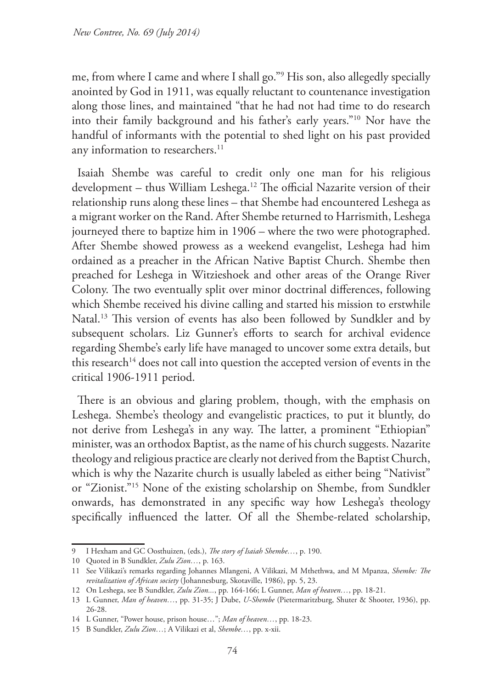me, from where I came and where I shall go."9 His son, also allegedly specially anointed by God in 1911, was equally reluctant to countenance investigation along those lines, and maintained "that he had not had time to do research into their family background and his father's early years."10 Nor have the handful of informants with the potential to shed light on his past provided any information to researchers.<sup>11</sup>

Isaiah Shembe was careful to credit only one man for his religious development – thus William Leshega.12 The official Nazarite version of their relationship runs along these lines – that Shembe had encountered Leshega as a migrant worker on the Rand. After Shembe returned to Harrismith, Leshega journeyed there to baptize him in 1906 – where the two were photographed. After Shembe showed prowess as a weekend evangelist, Leshega had him ordained as a preacher in the African Native Baptist Church. Shembe then preached for Leshega in Witzieshoek and other areas of the Orange River Colony. The two eventually split over minor doctrinal differences, following which Shembe received his divine calling and started his mission to erstwhile Natal.<sup>13</sup> This version of events has also been followed by Sundkler and by subsequent scholars. Liz Gunner's efforts to search for archival evidence regarding Shembe's early life have managed to uncover some extra details, but this research<sup>14</sup> does not call into question the accepted version of events in the critical 1906-1911 period.

There is an obvious and glaring problem, though, with the emphasis on Leshega. Shembe's theology and evangelistic practices, to put it bluntly, do not derive from Leshega's in any way. The latter, a prominent "Ethiopian" minister, was an orthodox Baptist, as the name of his church suggests. Nazarite theology and religious practice are clearly not derived from the Baptist Church, which is why the Nazarite church is usually labeled as either being "Nativist" or "Zionist."15 None of the existing scholarship on Shembe, from Sundkler onwards, has demonstrated in any specific way how Leshega's theology specifically influenced the latter. Of all the Shembe-related scholarship,

<sup>9</sup> I Hexham and GC Oosthuizen, (eds.), *The story of Isaiah Shembe…*, p. 190.

<sup>10</sup> Quoted in B Sundkler, *Zulu Zion…*, p. 163.

<sup>11</sup> See Vilikazi's remarks regarding Johannes Mlangeni, A Vilikazi, M Mthethwa, and M Mpanza, *Shembe: The revitalization of African society* (Johannesburg, Skotaville, 1986), pp. 5, 23.

<sup>12</sup> On Leshega, see B Sundkler, *Zulu Zion...*, pp. 164-166; L Gunner, *Man of heaven…*, pp. 18-21.

<sup>13</sup> L Gunner, *Man of heaven…*, pp. 31-35; J Dube, *U-Shembe* (Pietermaritzburg, Shuter & Shooter, 1936), pp. 26-28.

<sup>14</sup> L Gunner, "Power house, prison house…"; *Man of heaven…*, pp. 18-23.

<sup>15</sup> B Sundkler, *Zulu Zion…*; A Vilikazi et al, *Shembe…*, pp. x-xii.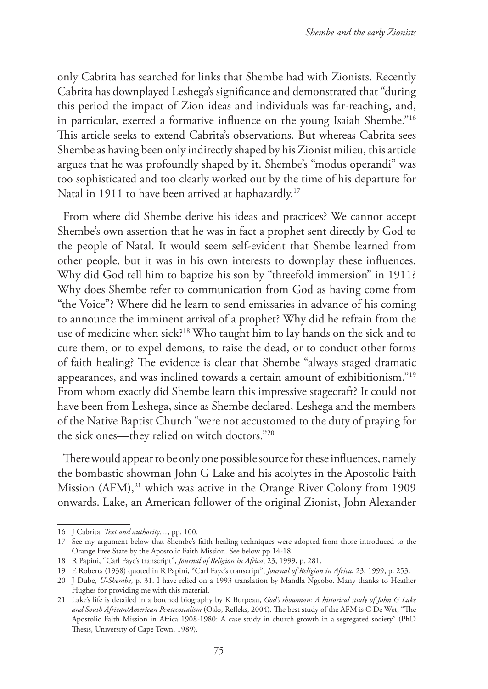only Cabrita has searched for links that Shembe had with Zionists. Recently Cabrita has downplayed Leshega's significance and demonstrated that "during this period the impact of Zion ideas and individuals was far-reaching, and, in particular, exerted a formative influence on the young Isaiah Shembe."16 This article seeks to extend Cabrita's observations. But whereas Cabrita sees Shembe as having been only indirectly shaped by his Zionist milieu, this article argues that he was profoundly shaped by it. Shembe's "modus operandi" was too sophisticated and too clearly worked out by the time of his departure for Natal in 1911 to have been arrived at haphazardly.<sup>17</sup>

From where did Shembe derive his ideas and practices? We cannot accept Shembe's own assertion that he was in fact a prophet sent directly by God to the people of Natal. It would seem self-evident that Shembe learned from other people, but it was in his own interests to downplay these influences. Why did God tell him to baptize his son by "threefold immersion" in 1911? Why does Shembe refer to communication from God as having come from "the Voice"? Where did he learn to send emissaries in advance of his coming to announce the imminent arrival of a prophet? Why did he refrain from the use of medicine when sick?18 Who taught him to lay hands on the sick and to cure them, or to expel demons, to raise the dead, or to conduct other forms of faith healing? The evidence is clear that Shembe "always staged dramatic appearances, and was inclined towards a certain amount of exhibitionism."19 From whom exactly did Shembe learn this impressive stagecraft? It could not have been from Leshega, since as Shembe declared, Leshega and the members of the Native Baptist Church "were not accustomed to the duty of praying for the sick ones—they relied on witch doctors."20

There would appear to be only one possible source for these influences, namely the bombastic showman John G Lake and his acolytes in the Apostolic Faith Mission (AFM),<sup>21</sup> which was active in the Orange River Colony from 1909 onwards. Lake, an American follower of the original Zionist, John Alexander

<sup>16</sup> J Cabrita, *Text and authority…*, pp. 100.

<sup>17</sup> See my argument below that Shembe's faith healing techniques were adopted from those introduced to the Orange Free State by the Apostolic Faith Mission. See below pp.14-18.

<sup>18</sup> R Papini, "Carl Faye's transcript", *Journal of Religion in Africa*, 23, 1999, p. 281.

<sup>19</sup> E Roberts (1938) quoted in R Papini, "Carl Faye's transcript", *Journal of Religion in Africa*, 23, 1999, p. 253.

<sup>20</sup> J Dube, *U-Shembe*, p. 31. I have relied on a 1993 translation by Mandla Ngcobo. Many thanks to Heather Hughes for providing me with this material.

<sup>21</sup> Lake's life is detailed in a botched biography by K Burpeau, *God's showman: A historical study of John G Lake and South African/American Pentecostalism* (Oslo, Refleks, 2004). The best study of the AFM is C De Wet, "The Apostolic Faith Mission in Africa 1908-1980: A case study in church growth in a segregated society" (PhD Thesis, University of Cape Town, 1989).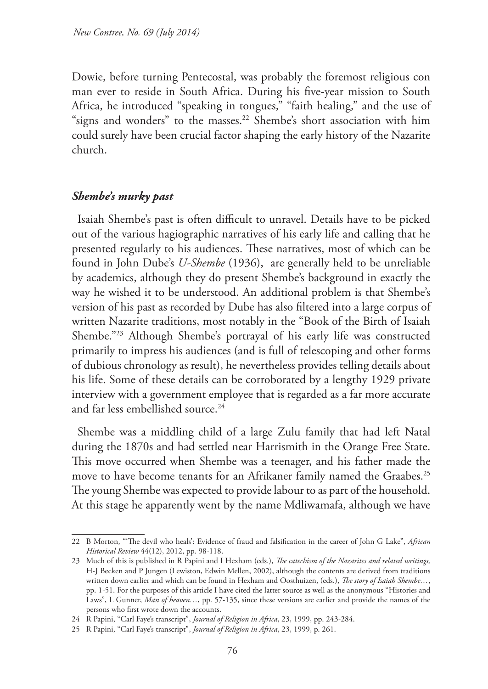Dowie, before turning Pentecostal, was probably the foremost religious con man ever to reside in South Africa. During his five-year mission to South Africa, he introduced "speaking in tongues," "faith healing," and the use of "signs and wonders" to the masses.<sup>22</sup> Shembe's short association with him could surely have been crucial factor shaping the early history of the Nazarite church.

### *Shembe's murky past*

Isaiah Shembe's past is often difficult to unravel. Details have to be picked out of the various hagiographic narratives of his early life and calling that he presented regularly to his audiences. These narratives, most of which can be found in John Dube's *U-Shembe* (1936), are generally held to be unreliable by academics, although they do present Shembe's background in exactly the way he wished it to be understood. An additional problem is that Shembe's version of his past as recorded by Dube has also filtered into a large corpus of written Nazarite traditions, most notably in the "Book of the Birth of Isaiah Shembe."23 Although Shembe's portrayal of his early life was constructed primarily to impress his audiences (and is full of telescoping and other forms of dubious chronology as result), he nevertheless provides telling details about his life. Some of these details can be corroborated by a lengthy 1929 private interview with a government employee that is regarded as a far more accurate and far less embellished source.<sup>24</sup>

Shembe was a middling child of a large Zulu family that had left Natal during the 1870s and had settled near Harrismith in the Orange Free State. This move occurred when Shembe was a teenager, and his father made the move to have become tenants for an Afrikaner family named the Graabes.<sup>25</sup> The young Shembe was expected to provide labour to as part of the household. At this stage he apparently went by the name Mdliwamafa, although we have

<sup>22</sup> B Morton, "'The devil who heals': Evidence of fraud and falsification in the career of John G Lake", *African Historical Review* 44(12), 2012, pp. 98-118.

<sup>23</sup> Much of this is published in R Papini and I Hexham (eds.), *The catechism of the Nazarites and related writings,* H-J Becken and P Jungen (Lewiston, Edwin Mellen, 2002), although the contents are derived from traditions written down earlier and which can be found in Hexham and Oosthuizen, (eds.), *The story of Isaiah Shembe…*, pp. 1-51. For the purposes of this article I have cited the latter source as well as the anonymous "Histories and Laws", L Gunner, *Man of heaven…*, pp. 57-135, since these versions are earlier and provide the names of the persons who first wrote down the accounts.

<sup>24</sup> R Papini, "Carl Faye's transcript", *Journal of Religion in Africa*, 23, 1999, pp. 243-284.

<sup>25</sup> R Papini, "Carl Faye's transcript", *Journal of Religion in Africa*, 23, 1999, p. 261.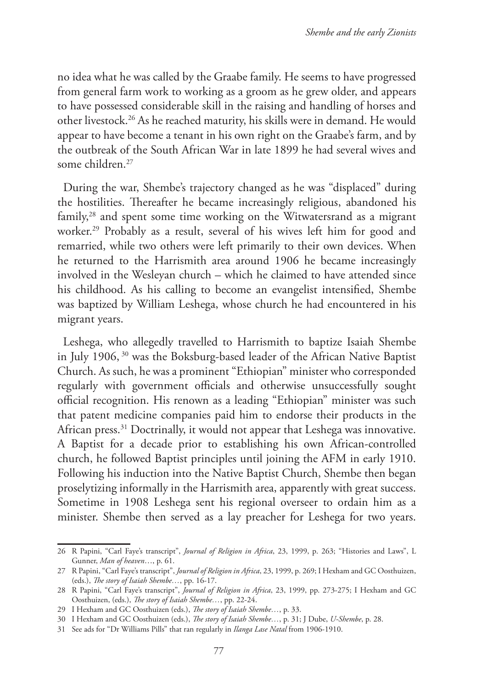no idea what he was called by the Graabe family. He seems to have progressed from general farm work to working as a groom as he grew older, and appears to have possessed considerable skill in the raising and handling of horses and other livestock.26 As he reached maturity, his skills were in demand. He would appear to have become a tenant in his own right on the Graabe's farm, and by the outbreak of the South African War in late 1899 he had several wives and some children.<sup>27</sup>

During the war, Shembe's trajectory changed as he was "displaced" during the hostilities. Thereafter he became increasingly religious, abandoned his family,28 and spent some time working on the Witwatersrand as a migrant worker.<sup>29</sup> Probably as a result, several of his wives left him for good and remarried, while two others were left primarily to their own devices. When he returned to the Harrismith area around 1906 he became increasingly involved in the Wesleyan church – which he claimed to have attended since his childhood. As his calling to become an evangelist intensified, Shembe was baptized by William Leshega, whose church he had encountered in his migrant years.

Leshega, who allegedly travelled to Harrismith to baptize Isaiah Shembe in July 1906, 30 was the Boksburg-based leader of the African Native Baptist Church. As such, he was a prominent "Ethiopian" minister who corresponded regularly with government officials and otherwise unsuccessfully sought official recognition. His renown as a leading "Ethiopian" minister was such that patent medicine companies paid him to endorse their products in the African press.<sup>31</sup> Doctrinally, it would not appear that Leshega was innovative. A Baptist for a decade prior to establishing his own African-controlled church, he followed Baptist principles until joining the AFM in early 1910. Following his induction into the Native Baptist Church, Shembe then began proselytizing informally in the Harrismith area, apparently with great success. Sometime in 1908 Leshega sent his regional overseer to ordain him as a minister. Shembe then served as a lay preacher for Leshega for two years.

<sup>26</sup> R Papini, "Carl Faye's transcript", *Journal of Religion in Africa*, 23, 1999, p. 263; "Histories and Laws", L Gunner, *Man of heaven*…, p. 61.

<sup>27</sup> R Papini, "Carl Faye's transcript", *Journal of Religion in Africa*, 23, 1999, p. 269; I Hexham and GC Oosthuizen, (eds.), *The story of Isaiah Shembe…*, pp. 16-17.

<sup>28</sup> R Papini, "Carl Faye's transcript", *Journal of Religion in Africa*, 23, 1999, pp. 273-275; I Hexham and GC Oosthuizen, (eds.), *The story of Isaiah Shembe…*, pp. 22-24.

<sup>29</sup> I Hexham and GC Oosthuizen (eds.), *The story of Isaiah Shembe…*, p. 33.

<sup>30</sup> I Hexham and GC Oosthuizen (eds.), *The story of Isaiah Shembe…*, p. 31; J Dube, *U-Shembe*, p. 28.

<sup>31</sup> See ads for "Dr Williams Pills" that ran regularly in *Ilanga Lase Natal* from 1906-1910.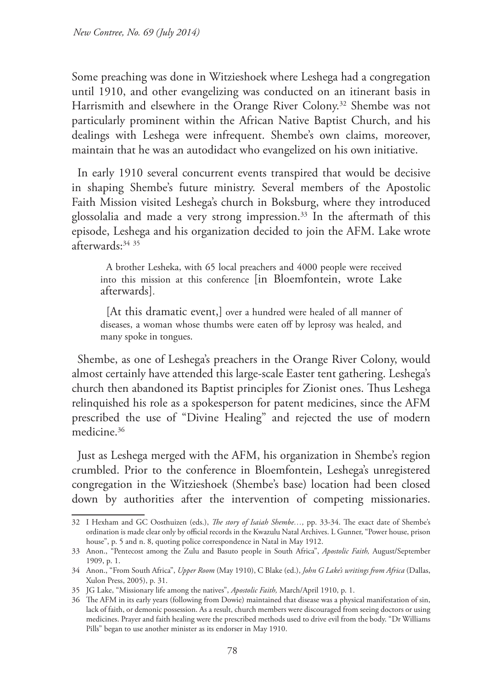Some preaching was done in Witzieshoek where Leshega had a congregation until 1910, and other evangelizing was conducted on an itinerant basis in Harrismith and elsewhere in the Orange River Colony.<sup>32</sup> Shembe was not particularly prominent within the African Native Baptist Church, and his dealings with Leshega were infrequent. Shembe's own claims, moreover, maintain that he was an autodidact who evangelized on his own initiative.

In early 1910 several concurrent events transpired that would be decisive in shaping Shembe's future ministry. Several members of the Apostolic Faith Mission visited Leshega's church in Boksburg, where they introduced glossolalia and made a very strong impression.<sup>33</sup> In the aftermath of this episode, Leshega and his organization decided to join the AFM. Lake wrote afterwards:34 <sup>35</sup>

A brother Lesheka, with 65 local preachers and 4000 people were received into this mission at this conference [in Bloemfontein, wrote Lake afterwards].

[At this dramatic event,] over a hundred were healed of all manner of diseases, a woman whose thumbs were eaten off by leprosy was healed, and many spoke in tongues.

Shembe, as one of Leshega's preachers in the Orange River Colony, would almost certainly have attended this large-scale Easter tent gathering. Leshega's church then abandoned its Baptist principles for Zionist ones. Thus Leshega relinquished his role as a spokesperson for patent medicines, since the AFM prescribed the use of "Divine Healing" and rejected the use of modern medicine.36

Just as Leshega merged with the AFM, his organization in Shembe's region crumbled. Prior to the conference in Bloemfontein, Leshega's unregistered congregation in the Witzieshoek (Shembe's base) location had been closed down by authorities after the intervention of competing missionaries.

<sup>32</sup> I Hexham and GC Oosthuizen (eds.), *The story of Isaiah Shembe…,* pp. 33-34. The exact date of Shembe's ordination is made clear only by official records in the Kwazulu Natal Archives. L Gunner, "Power house, prison house", p. 5 and n. 8, quoting police correspondence in Natal in May 1912.

<sup>33</sup> Anon., "Pentecost among the Zulu and Basuto people in South Africa", *Apostolic Faith,* August/September 1909, p. 1.

<sup>34</sup> Anon., "From South Africa", *Upper Room* (May 1910), C Blake (ed.), *John G Lake's writings from Africa* (Dallas, Xulon Press, 2005), p. 31.

<sup>35</sup> JG Lake, "Missionary life among the natives", *Apostolic Faith,* March/April 1910, p. 1.

<sup>36</sup> The AFM in its early years (following from Dowie) maintained that disease was a physical manifestation of sin, lack of faith, or demonic possession. As a result, church members were discouraged from seeing doctors or using medicines. Prayer and faith healing were the prescribed methods used to drive evil from the body. "Dr Williams Pills" began to use another minister as its endorser in May 1910.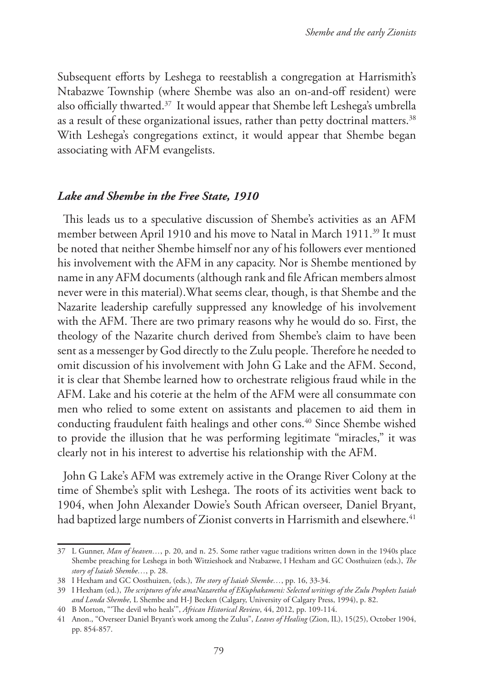Subsequent efforts by Leshega to reestablish a congregation at Harrismith's Ntabazwe Township (where Shembe was also an on-and-off resident) were also officially thwarted.37 It would appear that Shembe left Leshega's umbrella as a result of these organizational issues, rather than petty doctrinal matters.<sup>38</sup> With Leshega's congregations extinct, it would appear that Shembe began associating with AFM evangelists.

## *Lake and Shembe in the Free State, 1910*

This leads us to a speculative discussion of Shembe's activities as an AFM member between April 1910 and his move to Natal in March 1911.<sup>39</sup> It must be noted that neither Shembe himself nor any of his followers ever mentioned his involvement with the AFM in any capacity. Nor is Shembe mentioned by name in any AFM documents (although rank and file African members almost never were in this material).What seems clear, though, is that Shembe and the Nazarite leadership carefully suppressed any knowledge of his involvement with the AFM. There are two primary reasons why he would do so. First, the theology of the Nazarite church derived from Shembe's claim to have been sent as a messenger by God directly to the Zulu people. Therefore he needed to omit discussion of his involvement with John G Lake and the AFM. Second, it is clear that Shembe learned how to orchestrate religious fraud while in the AFM. Lake and his coterie at the helm of the AFM were all consummate con men who relied to some extent on assistants and placemen to aid them in conducting fraudulent faith healings and other cons.<sup>40</sup> Since Shembe wished to provide the illusion that he was performing legitimate "miracles," it was clearly not in his interest to advertise his relationship with the AFM.

John G Lake's AFM was extremely active in the Orange River Colony at the time of Shembe's split with Leshega. The roots of its activities went back to 1904, when John Alexander Dowie's South African overseer, Daniel Bryant, had baptized large numbers of Zionist converts in Harrismith and elsewhere.<sup>41</sup>

<sup>37</sup> L Gunner, *Man of heaven…*, p. 20, and n. 25. Some rather vague traditions written down in the 1940s place Shembe preaching for Leshega in both Witzieshoek and Ntabazwe, I Hexham and GC Oosthuizen (eds.), *The story of Isaiah Shembe…*, p. 28.

<sup>38</sup> I Hexham and GC Oosthuizen, (eds.), *The story of Isaiah Shembe…*, pp. 16, 33-34.

<sup>39</sup> I Hexham (ed.), *The scriptures of the amaNazaretha of EKuphakameni: Selected writings of the Zulu Prophets Isaiah and Londa Shembe*, L Shembe and H-J Becken (Calgary, University of Calgary Press, 1994), p. 82.

<sup>40</sup> B Morton, "'The devil who heals'", *African Historical Review*, 44, 2012, pp. 109-114.

<sup>41</sup> Anon., "Overseer Daniel Bryant's work among the Zulus", *Leaves of Healing* (Zion, IL), 15(25), October 1904, pp. 854-857.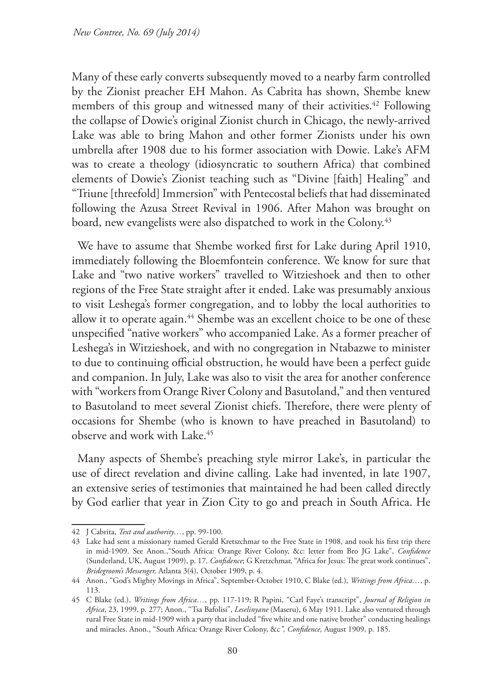Many of these early converts subsequently moved to a nearby farm controlled by the Zionist preacher EH Mahon. As Cabrita has shown, Shembe knew members of this group and witnessed many of their activities.<sup>42</sup> Following the collapse of Dowie's original Zionist church in Chicago, the newly-arrived Lake was able to bring Mahon and other former Zionists under his own umbrella after 1908 due to his former association with Dowie. Lake's AFM was to create a theology (idiosyncratic to southern Africa) that combined elements of Dowie's Zionist teaching such as "Divine [faith] Healing" and "Triune [threefold] Immersion" with Pentecostal beliefs that had disseminated following the Azusa Street Revival in 1906. After Mahon was brought on board, new evangelists were also dispatched to work in the Colony.<sup>43</sup>

We have to assume that Shembe worked first for Lake during April 1910, immediately following the Bloemfontein conference. We know for sure that Lake and "two native workers" travelled to Witzieshoek and then to other regions of the Free State straight after it ended. Lake was presumably anxious to visit Leshega's former congregation, and to lobby the local authorities to allow it to operate again.<sup>44</sup> Shembe was an excellent choice to be one of these unspecified "native workers" who accompanied Lake. As a former preacher of Leshega's in Witzieshoek, and with no congregation in Ntabazwe to minister to due to continuing official obstruction, he would have been a perfect guide and companion. In July, Lake was also to visit the area for another conference with "workers from Orange River Colony and Basutoland," and then ventured to Basutoland to meet several Zionist chiefs. Therefore, there were plenty of occasions for Shembe (who is known to have preached in Basutoland) to observe and work with Lake.45

Many aspects of Shembe's preaching style mirror Lake's, in particular the use of direct revelation and divine calling. Lake had invented, in late 1907, an extensive series of testimonies that maintained he had been called directly by God earlier that year in Zion City to go and preach in South Africa. He

<sup>42</sup> J Cabrita, *Text and authority…*, pp. 99-100.

<sup>43</sup> Lake had sent a missionary named Gerald Kretszchmar to the Free State in 1908, and took his first trip there in mid-1909. See Anon.,"South Africa: Orange River Colony, &c: letter from Bro JG Lake", *Confidence* (Sunderland, UK, August 1909), p. 17. *Confidence*; G Kretzchmar, "Africa for Jesus: The great work continues", *Bridegroom's Messenger,* Atlanta 3(4), October 1909, p. 4.

<sup>44</sup> Anon., "God's Mighty Movings in Africa", September-October 1910, C Blake (ed.), *Writings from Africa…*, p. 113.

<sup>45</sup> C Blake (ed.), *Writings from Africa…*, pp. 117-119; R Papini, "Carl Faye's transcript", *Journal of Religion in Africa*, 23, 1999, p. 277; Anon., "Tsa Bafolisi", *Leselinyane* (Maseru), 6 May 1911. Lake also ventured through rural Free State in mid-1909 with a party that included "five white and one native brother" conducting healings and miracles. Anon., "South Africa: Orange River Colony, &c*", Confidence,* August 1909, p. 185.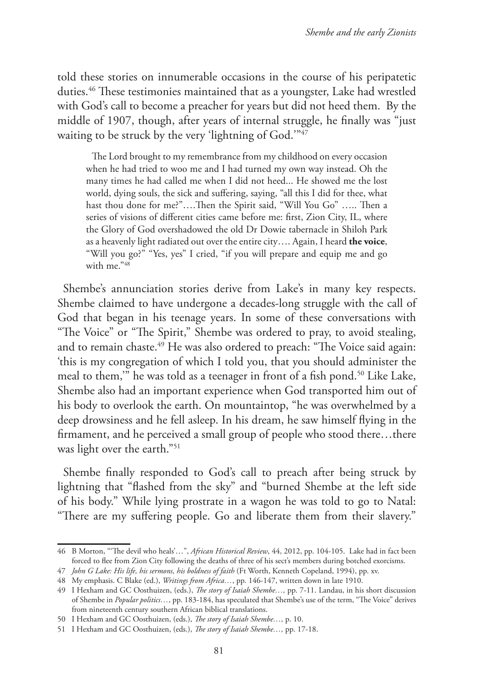told these stories on innumerable occasions in the course of his peripatetic duties.46 These testimonies maintained that as a youngster, Lake had wrestled with God's call to become a preacher for years but did not heed them. By the middle of 1907, though, after years of internal struggle, he finally was "just waiting to be struck by the very 'lightning of God."<sup>47</sup>

The Lord brought to my remembrance from my childhood on every occasion when he had tried to woo me and I had turned my own way instead. Oh the many times he had called me when I did not heed... He showed me the lost world, dying souls, the sick and suffering, saying, "all this I did for thee, what hast thou done for me?"….Then the Spirit said, "Will You Go" ….. Then a series of visions of different cities came before me: first, Zion City, IL, where the Glory of God overshadowed the old Dr Dowie tabernacle in Shiloh Park as a heavenly light radiated out over the entire city…. Again, I heard **the voice**, "Will you go?" "Yes, yes" I cried, "if you will prepare and equip me and go with me."48

Shembe's annunciation stories derive from Lake's in many key respects. Shembe claimed to have undergone a decades-long struggle with the call of God that began in his teenage years. In some of these conversations with "The Voice" or "The Spirit," Shembe was ordered to pray, to avoid stealing, and to remain chaste.<sup>49</sup> He was also ordered to preach: "The Voice said again: 'this is my congregation of which I told you, that you should administer the meal to them," he was told as a teenager in front of a fish pond.<sup>50</sup> Like Lake, Shembe also had an important experience when God transported him out of his body to overlook the earth. On mountaintop, "he was overwhelmed by a deep drowsiness and he fell asleep. In his dream, he saw himself flying in the firmament, and he perceived a small group of people who stood there…there was light over the earth."<sup>51</sup>

Shembe finally responded to God's call to preach after being struck by lightning that "flashed from the sky" and "burned Shembe at the left side of his body." While lying prostrate in a wagon he was told to go to Natal: "There are my suffering people. Go and liberate them from their slavery."

<sup>46</sup> B Morton, "'The devil who heals'…", *African Historical Review*, 44, 2012, pp. 104-105. Lake had in fact been forced to flee from Zion City following the deaths of three of his sect's members during botched exorcisms.

<sup>47</sup> *John G Lake: His life, his sermons, his boldness of faith* (Ft Worth, Kenneth Copeland, 1994), pp. xv.

<sup>48</sup> My emphasis. C Blake (ed.), *Writings from Africa…*, pp. 146-147, written down in late 1910.

<sup>49</sup> I Hexham and GC Oosthuizen, (eds.), *The story of Isaiah Shembe…,* pp. 7-11. Landau, in his short discussion of Shembe in *Popular politics…*, pp. 183-184, has speculated that Shembe's use of the term, "The Voice" derives from nineteenth century southern African biblical translations.

<sup>50</sup> I Hexham and GC Oosthuizen, (eds.), *The story of Isaiah Shembe…,* p. 10.

<sup>51</sup> I Hexham and GC Oosthuizen, (eds.), *The story of Isaiah Shembe…,* pp. 17-18.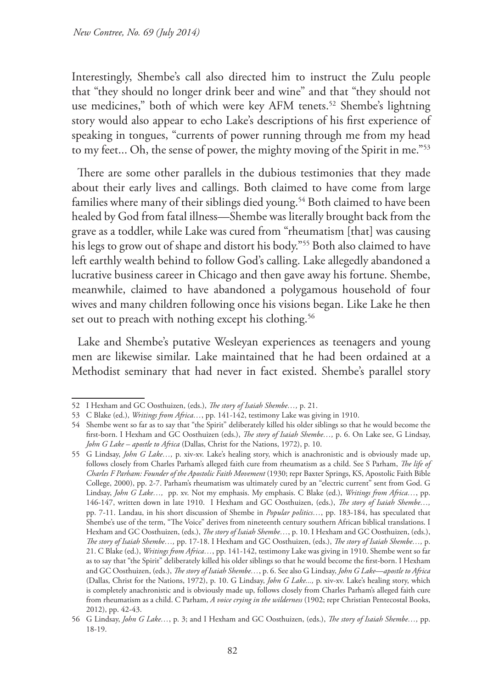Interestingly, Shembe's call also directed him to instruct the Zulu people that "they should no longer drink beer and wine" and that "they should not use medicines," both of which were key AFM tenets.<sup>52</sup> Shembe's lightning story would also appear to echo Lake's descriptions of his first experience of speaking in tongues, "currents of power running through me from my head to my feet... Oh, the sense of power, the mighty moving of the Spirit in me."53

There are some other parallels in the dubious testimonies that they made about their early lives and callings. Both claimed to have come from large families where many of their siblings died young.<sup>54</sup> Both claimed to have been healed by God from fatal illness—Shembe was literally brought back from the grave as a toddler, while Lake was cured from "rheumatism [that] was causing his legs to grow out of shape and distort his body."55 Both also claimed to have left earthly wealth behind to follow God's calling. Lake allegedly abandoned a lucrative business career in Chicago and then gave away his fortune. Shembe, meanwhile, claimed to have abandoned a polygamous household of four wives and many children following once his visions began. Like Lake he then set out to preach with nothing except his clothing.<sup>56</sup>

Lake and Shembe's putative Wesleyan experiences as teenagers and young men are likewise similar. Lake maintained that he had been ordained at a Methodist seminary that had never in fact existed. Shembe's parallel story

<sup>52</sup> I Hexham and GC Oosthuizen, (eds.), *The story of Isaiah Shembe…,* p. 21.

<sup>53</sup> C Blake (ed.), *Writings from Africa…*, pp. 141-142, testimony Lake was giving in 1910.

<sup>54</sup> Shembe went so far as to say that "the Spirit" deliberately killed his older siblings so that he would become the first-born. I Hexham and GC Oosthuizen (eds.), *The story of Isaiah Shembe…,* p. 6. On Lake see, G Lindsay, *John G Lake – apostle to Africa* (Dallas, Christ for the Nations, 1972), p. 10.

<sup>55</sup> G Lindsay, *John G Lake…,* p. xiv-xv. Lake's healing story, which is anachronistic and is obviously made up, follows closely from Charles Parham's alleged faith cure from rheumatism as a child. See S Parham, *The life of Charles F Parham: Founder of the Apostolic Faith Movement* (1930; repr Baxter Springs, KS, Apostolic Faith Bible College, 2000), pp. 2-7. Parham's rheumatism was ultimately cured by an "electric current" sent from God. G Lindsay, *John G Lake…,* pp. xv. Not my emphasis. My emphasis. C Blake (ed.), *Writings from Africa…*, pp. 146-147, written down in late 1910. I Hexham and GC Oosthuizen, (eds.), *The story of Isaiah Shembe…,* pp. 7-11. Landau, in his short discussion of Shembe in *Popular politics…*, pp. 183-184, has speculated that Shembe's use of the term, "The Voice" derives from nineteenth century southern African biblical translations. I Hexham and GC Oosthuizen, (eds.), *The story of Isaiah Shembe…*, p. 10. I Hexham and GC Oosthuizen, (eds.), *The story of Isaiah Shembe…,* pp. 17-18. I Hexham and GC Oosthuizen, (eds.), *The story of Isaiah Shembe…,* p. 21. C Blake (ed.), *Writings from Africa…*, pp. 141-142, testimony Lake was giving in 1910. Shembe went so far as to say that "the Spirit" deliberately killed his older siblings so that he would become the first-born. I Hexham and GC Oosthuizen, (eds.), *The story of Isaiah Shembe…*, p. 6. See also G Lindsay, *John G Lake—apostle to Africa* (Dallas, Christ for the Nations, 1972), p. 10. G Lindsay, *John G Lake...,* p. xiv-xv. Lake's healing story, which is completely anachronistic and is obviously made up, follows closely from Charles Parham's alleged faith cure from rheumatism as a child. C Parham, *A voice crying in the wilderness* (1902; repr Christian Pentecostal Books, 2012), pp. 42-43.

<sup>56</sup> G Lindsay, *John G Lake…*, p. 3; and I Hexham and GC Oosthuizen, (eds.), *The story of Isaiah Shembe…,* pp. 18-19.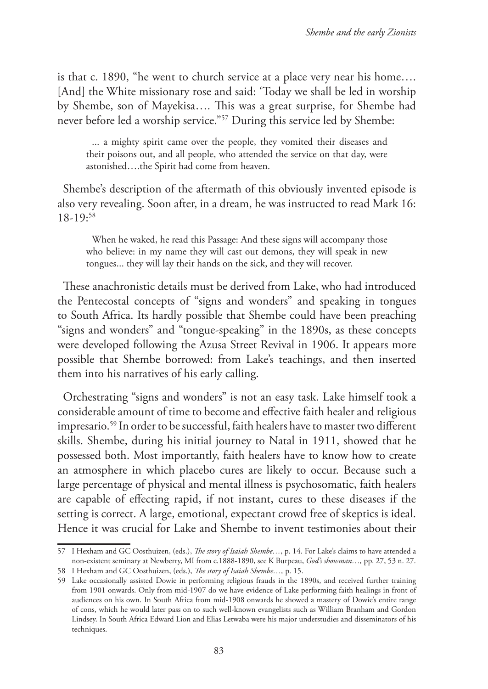is that c. 1890, "he went to church service at a place very near his home…. [And] the White missionary rose and said: 'Today we shall be led in worship by Shembe, son of Mayekisa…. This was a great surprise, for Shembe had never before led a worship service."57 During this service led by Shembe:

... a mighty spirit came over the people, they vomited their diseases and their poisons out, and all people, who attended the service on that day, were astonished….the Spirit had come from heaven.

Shembe's description of the aftermath of this obviously invented episode is also very revealing. Soon after, in a dream, he was instructed to read Mark 16: 18-19:58

When he waked, he read this Passage: And these signs will accompany those who believe: in my name they will cast out demons, they will speak in new tongues... they will lay their hands on the sick, and they will recover.

These anachronistic details must be derived from Lake, who had introduced the Pentecostal concepts of "signs and wonders" and speaking in tongues to South Africa. Its hardly possible that Shembe could have been preaching "signs and wonders" and "tongue-speaking" in the 1890s, as these concepts were developed following the Azusa Street Revival in 1906. It appears more possible that Shembe borrowed: from Lake's teachings, and then inserted them into his narratives of his early calling.

Orchestrating "signs and wonders" is not an easy task. Lake himself took a considerable amount of time to become and effective faith healer and religious impresario.59 In order to be successful, faith healers have to master two different skills. Shembe, during his initial journey to Natal in 1911, showed that he possessed both. Most importantly, faith healers have to know how to create an atmosphere in which placebo cures are likely to occur. Because such a large percentage of physical and mental illness is psychosomatic, faith healers are capable of effecting rapid, if not instant, cures to these diseases if the setting is correct. A large, emotional, expectant crowd free of skeptics is ideal. Hence it was crucial for Lake and Shembe to invent testimonies about their

<sup>57</sup> I Hexham and GC Oosthuizen, (eds.), *The story of Isaiah Shembe…*, p. 14. For Lake's claims to have attended a non-existent seminary at Newberry, MI from c.1888-1890, see K Burpeau, *God's showman…,* pp. 27, 53 n. 27.

<sup>58</sup> I Hexham and GC Oosthuizen, (eds.), *The story of Isaiah Shembe…,* p. 15.

<sup>59</sup> Lake occasionally assisted Dowie in performing religious frauds in the 1890s, and received further training from 1901 onwards. Only from mid-1907 do we have evidence of Lake performing faith healings in front of audiences on his own. In South Africa from mid-1908 onwards he showed a mastery of Dowie's entire range of cons, which he would later pass on to such well-known evangelists such as William Branham and Gordon Lindsey. In South Africa Edward Lion and Elias Letwaba were his major understudies and disseminators of his techniques.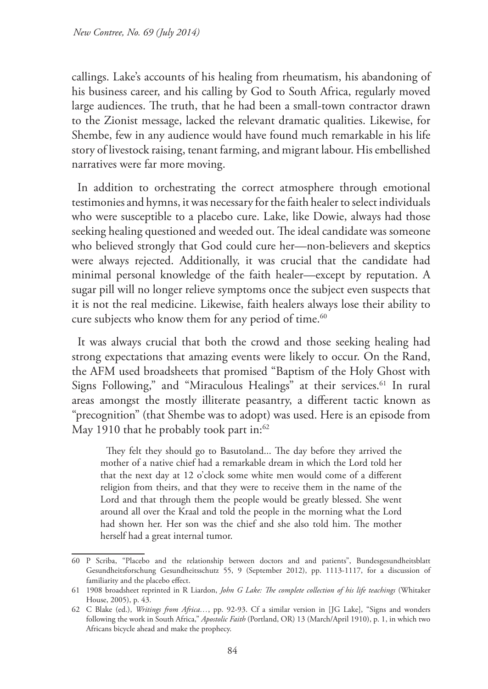callings. Lake's accounts of his healing from rheumatism, his abandoning of his business career, and his calling by God to South Africa, regularly moved large audiences. The truth, that he had been a small-town contractor drawn to the Zionist message, lacked the relevant dramatic qualities. Likewise, for Shembe, few in any audience would have found much remarkable in his life story of livestock raising, tenant farming, and migrant labour. His embellished narratives were far more moving.

In addition to orchestrating the correct atmosphere through emotional testimonies and hymns, it was necessary for the faith healer to select individuals who were susceptible to a placebo cure. Lake, like Dowie, always had those seeking healing questioned and weeded out. The ideal candidate was someone who believed strongly that God could cure her—non-believers and skeptics were always rejected. Additionally, it was crucial that the candidate had minimal personal knowledge of the faith healer—except by reputation. A sugar pill will no longer relieve symptoms once the subject even suspects that it is not the real medicine. Likewise, faith healers always lose their ability to cure subjects who know them for any period of time.<sup>60</sup>

It was always crucial that both the crowd and those seeking healing had strong expectations that amazing events were likely to occur. On the Rand, the AFM used broadsheets that promised "Baptism of the Holy Ghost with Signs Following," and "Miraculous Healings" at their services.<sup>61</sup> In rural areas amongst the mostly illiterate peasantry, a different tactic known as "precognition" (that Shembe was to adopt) was used. Here is an episode from May 1910 that he probably took part in:<sup>62</sup>

They felt they should go to Basutoland... The day before they arrived the mother of a native chief had a remarkable dream in which the Lord told her that the next day at 12 o'clock some white men would come of a different religion from theirs, and that they were to receive them in the name of the Lord and that through them the people would be greatly blessed. She went around all over the Kraal and told the people in the morning what the Lord had shown her. Her son was the chief and she also told him. The mother herself had a great internal tumor.

<sup>60</sup> P Scriba, "Placebo and the relationship between doctors and and patients", Bundesgesundheitsblatt Gesundheitsforschung Gesundheitsschutz 55, 9 (September 2012), pp. 1113-1117, for a discussion of familiarity and the placebo effect.

<sup>61</sup> 1908 broadsheet reprinted in R Liardon, *John G Lake: The complete collection of his life teachings* (Whitaker House, 2005), p. 43.

<sup>62</sup> C Blake (ed.), *Writings from Africa…*, pp. 92-93. Cf a similar version in [JG Lake], "Signs and wonders following the work in South Africa," *Apostolic Faith* (Portland, OR) 13 (March/April 1910), p. 1, in which two Africans bicycle ahead and make the prophecy.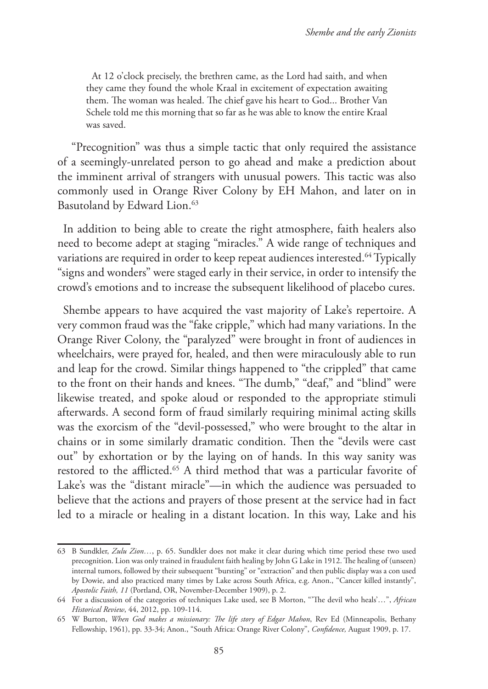At 12 o'clock precisely, the brethren came, as the Lord had saith, and when they came they found the whole Kraal in excitement of expectation awaiting them. The woman was healed. The chief gave his heart to God... Brother Van Schele told me this morning that so far as he was able to know the entire Kraal was saved.

 "Precognition" was thus a simple tactic that only required the assistance of a seemingly-unrelated person to go ahead and make a prediction about the imminent arrival of strangers with unusual powers. This tactic was also commonly used in Orange River Colony by EH Mahon, and later on in Basutoland by Edward Lion.<sup>63</sup>

In addition to being able to create the right atmosphere, faith healers also need to become adept at staging "miracles." A wide range of techniques and variations are required in order to keep repeat audiences interested.<sup>64</sup> Typically "signs and wonders" were staged early in their service, in order to intensify the crowd's emotions and to increase the subsequent likelihood of placebo cures.

Shembe appears to have acquired the vast majority of Lake's repertoire. A very common fraud was the "fake cripple," which had many variations. In the Orange River Colony, the "paralyzed" were brought in front of audiences in wheelchairs, were prayed for, healed, and then were miraculously able to run and leap for the crowd. Similar things happened to "the crippled" that came to the front on their hands and knees. "The dumb," "deaf," and "blind" were likewise treated, and spoke aloud or responded to the appropriate stimuli afterwards. A second form of fraud similarly requiring minimal acting skills was the exorcism of the "devil-possessed," who were brought to the altar in chains or in some similarly dramatic condition. Then the "devils were cast out" by exhortation or by the laying on of hands. In this way sanity was restored to the afflicted.<sup>65</sup> A third method that was a particular favorite of Lake's was the "distant miracle"—in which the audience was persuaded to believe that the actions and prayers of those present at the service had in fact led to a miracle or healing in a distant location. In this way, Lake and his

<sup>63</sup> B Sundkler, *Zulu Zion…*, p. 65. Sundkler does not make it clear during which time period these two used precognition. Lion was only trained in fraudulent faith healing by John G Lake in 1912. The healing of (unseen) internal tumors, followed by their subsequent "bursting" or "extraction" and then public display was a con used by Dowie, and also practiced many times by Lake across South Africa, e.g. Anon., "Cancer killed instantly", *Apostolic Faith, 11* (Portland, OR, November-December 1909), p. 2.

<sup>64</sup> For a discussion of the categories of techniques Lake used, see B Morton, "'The devil who heals'…", *African Historical Review*, 44, 2012, pp. 109-114.

<sup>65</sup> W Burton, *When God makes a missionary: The life story of Edgar Mahon*, Rev Ed (Minneapolis, Bethany Fellowship, 1961), pp. 33-34; Anon., "South Africa: Orange River Colony", *Confidence,* August 1909, p. 17.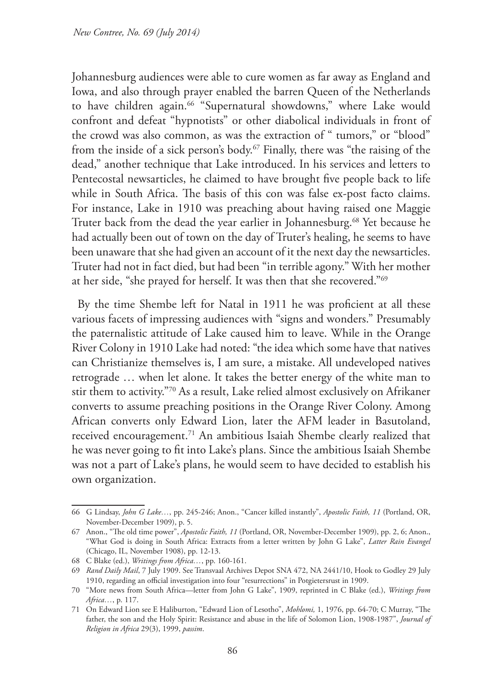Johannesburg audiences were able to cure women as far away as England and Iowa, and also through prayer enabled the barren Queen of the Netherlands to have children again.<sup>66</sup> "Supernatural showdowns," where Lake would confront and defeat "hypnotists" or other diabolical individuals in front of the crowd was also common, as was the extraction of " tumors," or "blood" from the inside of a sick person's body.<sup>67</sup> Finally, there was "the raising of the dead," another technique that Lake introduced. In his services and letters to Pentecostal newsarticles, he claimed to have brought five people back to life while in South Africa. The basis of this con was false ex-post facto claims. For instance, Lake in 1910 was preaching about having raised one Maggie Truter back from the dead the year earlier in Johannesburg.<sup>68</sup> Yet because he had actually been out of town on the day of Truter's healing, he seems to have been unaware that she had given an account of it the next day the newsarticles. Truter had not in fact died, but had been "in terrible agony." With her mother at her side, "she prayed for herself. It was then that she recovered."69

By the time Shembe left for Natal in 1911 he was proficient at all these various facets of impressing audiences with "signs and wonders." Presumably the paternalistic attitude of Lake caused him to leave. While in the Orange River Colony in 1910 Lake had noted: "the idea which some have that natives can Christianize themselves is, I am sure, a mistake. All undeveloped natives retrograde … when let alone. It takes the better energy of the white man to stir them to activity."70 As a result, Lake relied almost exclusively on Afrikaner converts to assume preaching positions in the Orange River Colony. Among African converts only Edward Lion, later the AFM leader in Basutoland, received encouragement.<sup>71</sup> An ambitious Isaiah Shembe clearly realized that he was never going to fit into Lake's plans. Since the ambitious Isaiah Shembe was not a part of Lake's plans, he would seem to have decided to establish his own organization.

<sup>66</sup> G Lindsay, *John G Lake…*, pp. 245-246; Anon., "Cancer killed instantly", *Apostolic Faith, 11* (Portland, OR, November-December 1909), p. 5.

<sup>67</sup> Anon., "The old time power", *Apostolic Faith, 11* (Portland, OR, November-December 1909), pp. 2, 6; Anon., "What God is doing in South Africa: Extracts from a letter written by John G Lake", *Latter Rain Evangel* (Chicago, IL, November 1908), pp. 12-13.

<sup>68</sup> C Blake (ed.), *Writings from Africa…*, pp. 160-161.

<sup>69</sup> *Rand Daily Mail*, 7 July 1909. See Transvaal Archives Depot SNA 472, NA 2441/10, Hook to Godley 29 July 1910, regarding an official investigation into four "resurrections" in Potgietersrust in 1909.

<sup>70</sup> "More news from South Africa—letter from John G Lake", 1909, reprinted in C Blake (ed.), *Writings from Africa…*, p. 117.

<sup>71</sup> On Edward Lion see E Haliburton, "Edward Lion of Lesotho", *Mohlomi,* 1, 1976, pp. 64-70; C Murray, "The father, the son and the Holy Spirit: Resistance and abuse in the life of Solomon Lion, 1908-1987", *Journal of Religion in Africa* 29(3), 1999, *passim*.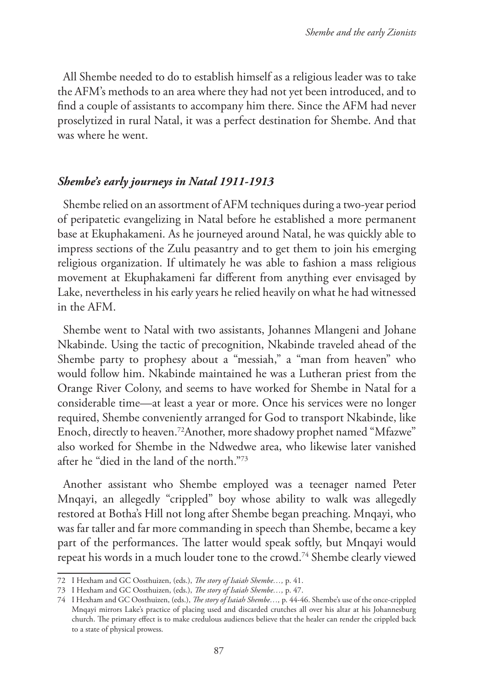All Shembe needed to do to establish himself as a religious leader was to take the AFM's methods to an area where they had not yet been introduced, and to find a couple of assistants to accompany him there. Since the AFM had never proselytized in rural Natal, it was a perfect destination for Shembe. And that was where he went.

# *Shembe's early journeys in Natal 1911-1913*

Shembe relied on an assortment of AFM techniques during a two-year period of peripatetic evangelizing in Natal before he established a more permanent base at Ekuphakameni. As he journeyed around Natal, he was quickly able to impress sections of the Zulu peasantry and to get them to join his emerging religious organization. If ultimately he was able to fashion a mass religious movement at Ekuphakameni far different from anything ever envisaged by Lake, nevertheless in his early years he relied heavily on what he had witnessed in the AFM.

Shembe went to Natal with two assistants, Johannes Mlangeni and Johane Nkabinde. Using the tactic of precognition, Nkabinde traveled ahead of the Shembe party to prophesy about a "messiah," a "man from heaven" who would follow him. Nkabinde maintained he was a Lutheran priest from the Orange River Colony, and seems to have worked for Shembe in Natal for a considerable time—at least a year or more. Once his services were no longer required, Shembe conveniently arranged for God to transport Nkabinde, like Enoch, directly to heaven.72Another, more shadowy prophet named "Mfazwe" also worked for Shembe in the Ndwedwe area, who likewise later vanished after he "died in the land of the north."73

Another assistant who Shembe employed was a teenager named Peter Mnqayi, an allegedly "crippled" boy whose ability to walk was allegedly restored at Botha's Hill not long after Shembe began preaching. Mnqayi, who was far taller and far more commanding in speech than Shembe, became a key part of the performances. The latter would speak softly, but Mnqayi would repeat his words in a much louder tone to the crowd.74 Shembe clearly viewed

<sup>72</sup> I Hexham and GC Oosthuizen, (eds.), *The story of Isaiah Shembe…,* p. 41.

<sup>73</sup> I Hexham and GC Oosthuizen, (eds.), *The story of Isaiah Shembe…,* p. 47.

<sup>74</sup> I Hexham and GC Oosthuizen, (eds.), *The story of Isaiah Shembe…,* p. 44-46. Shembe's use of the once-crippled Mnqayi mirrors Lake's practice of placing used and discarded crutches all over his altar at his Johannesburg church. The primary effect is to make credulous audiences believe that the healer can render the crippled back to a state of physical prowess.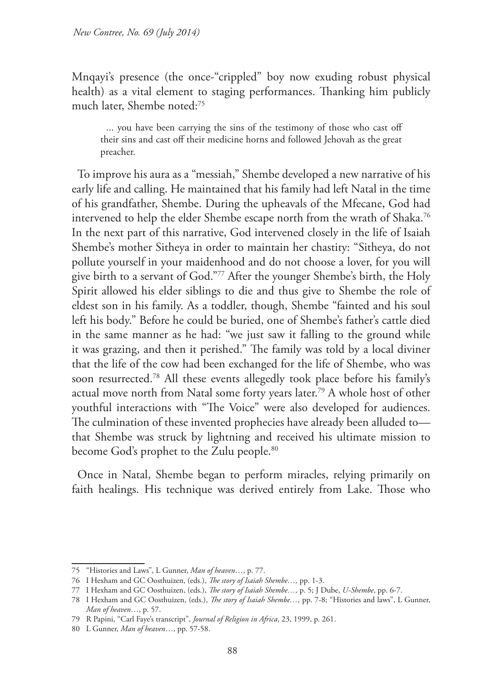Mnqayi's presence (the once-"crippled" boy now exuding robust physical health) as a vital element to staging performances. Thanking him publicly much later, Shembe noted:75

... you have been carrying the sins of the testimony of those who cast off their sins and cast off their medicine horns and followed Jehovah as the great preacher.

To improve his aura as a "messiah," Shembe developed a new narrative of his early life and calling. He maintained that his family had left Natal in the time of his grandfather, Shembe. During the upheavals of the Mfecane, God had intervened to help the elder Shembe escape north from the wrath of Shaka.<sup>76</sup> In the next part of this narrative, God intervened closely in the life of Isaiah Shembe's mother Sitheya in order to maintain her chastity: "Sitheya, do not pollute yourself in your maidenhood and do not choose a lover, for you will give birth to a servant of God."77 After the younger Shembe's birth, the Holy Spirit allowed his elder siblings to die and thus give to Shembe the role of eldest son in his family. As a toddler, though, Shembe "fainted and his soul left his body." Before he could be buried, one of Shembe's father's cattle died in the same manner as he had: "we just saw it falling to the ground while it was grazing, and then it perished." The family was told by a local diviner that the life of the cow had been exchanged for the life of Shembe, who was soon resurrected.78 All these events allegedly took place before his family's actual move north from Natal some forty years later.79 A whole host of other youthful interactions with "The Voice" were also developed for audiences. The culmination of these invented prophecies have already been alluded to that Shembe was struck by lightning and received his ultimate mission to become God's prophet to the Zulu people.<sup>80</sup>

Once in Natal, Shembe began to perform miracles, relying primarily on faith healings. His technique was derived entirely from Lake. Those who

<sup>75</sup> "Histories and Laws", L Gunner, *Man of heaven*…, p. 77.

<sup>76</sup> I Hexham and GC Oosthuizen, (eds.), *The story of Isaiah Shembe…,* pp. 1-3.

<sup>77</sup> I Hexham and GC Oosthuizen, (eds.), *The story of Isaiah Shembe…,* p. 5; J Dube, *U-Shembe*, pp. 6-7.

<sup>78</sup> I Hexham and GC Oosthuizen, (eds.), *The story of Isaiah Shembe…,* pp. 7-8; "Histories and laws", L Gunner, *Man of heaven*…, p. 57.

<sup>79</sup> R Papini, "Carl Faye's transcript", *Journal of Religion in Africa*, 23, 1999, p. 261.

<sup>80</sup> L Gunner, *Man of heaven*…, pp. 57-58.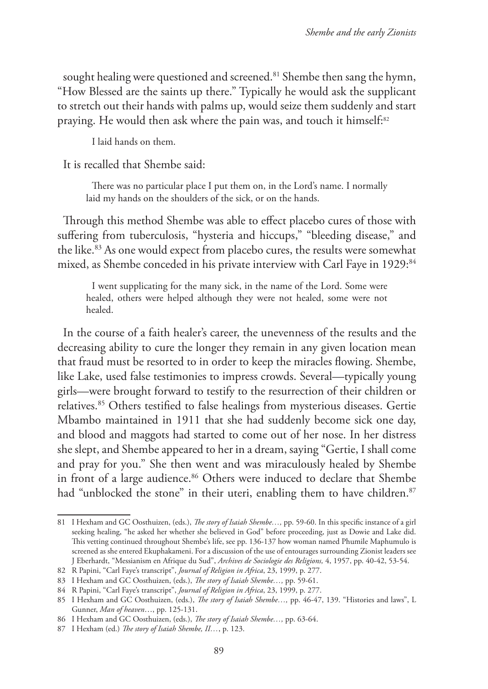sought healing were questioned and screened.<sup>81</sup> Shembe then sang the hymn, "How Blessed are the saints up there." Typically he would ask the supplicant to stretch out their hands with palms up, would seize them suddenly and start praying. He would then ask where the pain was, and touch it himself:<sup>82</sup>

I laid hands on them.

It is recalled that Shembe said:

There was no particular place I put them on, in the Lord's name. I normally laid my hands on the shoulders of the sick, or on the hands.

Through this method Shembe was able to effect placebo cures of those with suffering from tuberculosis, "hysteria and hiccups," "bleeding disease," and the like.<sup>83</sup> As one would expect from placebo cures, the results were somewhat mixed, as Shembe conceded in his private interview with Carl Faye in 1929:84

I went supplicating for the many sick, in the name of the Lord. Some were healed, others were helped although they were not healed, some were not healed.

In the course of a faith healer's career, the unevenness of the results and the decreasing ability to cure the longer they remain in any given location mean that fraud must be resorted to in order to keep the miracles flowing. Shembe, like Lake, used false testimonies to impress crowds. Several—typically young girls—were brought forward to testify to the resurrection of their children or relatives.85 Others testified to false healings from mysterious diseases. Gertie Mbambo maintained in 1911 that she had suddenly become sick one day, and blood and maggots had started to come out of her nose. In her distress she slept, and Shembe appeared to her in a dream, saying "Gertie, I shall come and pray for you." She then went and was miraculously healed by Shembe in front of a large audience.<sup>86</sup> Others were induced to declare that Shembe had "unblocked the stone" in their uteri, enabling them to have children.<sup>87</sup>

<sup>81</sup> I Hexham and GC Oosthuizen, (eds.), *The story of Isaiah Shembe…,* pp. 59-60. In this specific instance of a girl seeking healing, "he asked her whether she believed in God" before proceeding, just as Dowie and Lake did. This vetting continued throughout Shembe's life, see pp. 136-137 how woman named Phumile Maphumulo is screened as she entered Ekuphakameni. For a discussion of the use of entourages surrounding Zionist leaders see J Eberhardt, "Messianism en Afrique du Sud", *Archives de Sociologie des Religions,* 4, 1957, pp. 40-42, 53-54.

<sup>82</sup> R Papini, "Carl Faye's transcript", *Journal of Religion in Africa*, 23, 1999, p. 277.

<sup>83</sup> I Hexham and GC Oosthuizen, (eds.), *The story of Isaiah Shembe…,* pp. 59-61.

<sup>84</sup> R Papini, "Carl Faye's transcript", *Journal of Religion in Africa*, 23, 1999, p. 277.

<sup>85</sup> I Hexham and GC Oosthuizen, (eds.), *The story of Isaiah Shembe…,* pp. 46-47, 139. "Histories and laws", L Gunner, *Man of heaven*…, pp. 125-131.

<sup>86</sup> I Hexham and GC Oosthuizen, (eds.), *The story of Isaiah Shembe…,* pp. 63-64.

<sup>87</sup> I Hexham (ed.) *The story of Isaiah Shembe, II…*, p. 123.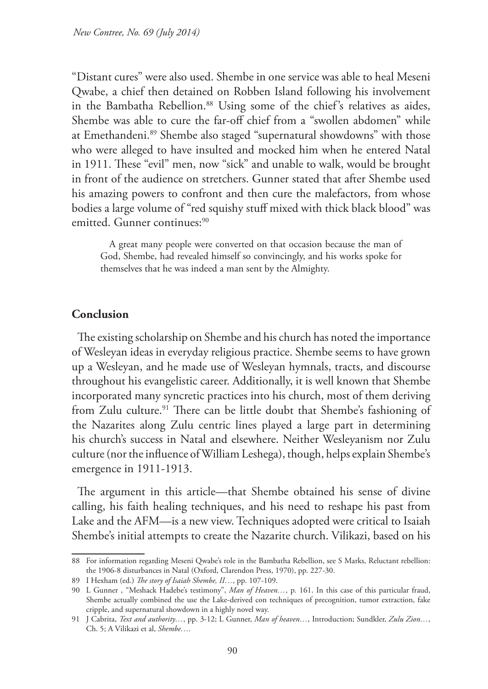"Distant cures" were also used. Shembe in one service was able to heal Meseni Qwabe, a chief then detained on Robben Island following his involvement in the Bambatha Rebellion.<sup>88</sup> Using some of the chief's relatives as aides, Shembe was able to cure the far-off chief from a "swollen abdomen" while at Emethandeni.89 Shembe also staged "supernatural showdowns" with those who were alleged to have insulted and mocked him when he entered Natal in 1911. These "evil" men, now "sick" and unable to walk, would be brought in front of the audience on stretchers. Gunner stated that after Shembe used his amazing powers to confront and then cure the malefactors, from whose bodies a large volume of "red squishy stuff mixed with thick black blood" was emitted. Gunner continues:<sup>90</sup>

 A great many people were converted on that occasion because the man of God, Shembe, had revealed himself so convincingly, and his works spoke for themselves that he was indeed a man sent by the Almighty.

## **Conclusion**

The existing scholarship on Shembe and his church has noted the importance of Wesleyan ideas in everyday religious practice. Shembe seems to have grown up a Wesleyan, and he made use of Wesleyan hymnals, tracts, and discourse throughout his evangelistic career. Additionally, it is well known that Shembe incorporated many syncretic practices into his church, most of them deriving from Zulu culture.<sup>91</sup> There can be little doubt that Shembe's fashioning of the Nazarites along Zulu centric lines played a large part in determining his church's success in Natal and elsewhere. Neither Wesleyanism nor Zulu culture (nor the influence of William Leshega), though, helps explain Shembe's emergence in 1911-1913.

The argument in this article—that Shembe obtained his sense of divine calling, his faith healing techniques, and his need to reshape his past from Lake and the AFM—is a new view. Techniques adopted were critical to Isaiah Shembe's initial attempts to create the Nazarite church. Vilikazi, based on his

<sup>88</sup> For information regarding Meseni Qwabe's role in the Bambatha Rebellion, see S Marks, Reluctant rebellion: the 1906-8 disturbances in Natal (Oxford, Clarendon Press, 1970), pp. 227-30.

<sup>89</sup> I Hexham (ed.) *The story of Isaiah Shembe, II…*, pp. 107-109.

<sup>90</sup> L Gunner , "Meshack Hadebe's testimony", *Man of Heaven…*, p. 161. In this case of this particular fraud, Shembe actually combined the use the Lake-derived con techniques of precognition, tumor extraction, fake cripple, and supernatural showdown in a highly novel way.

<sup>91</sup> J Cabrita, *Text and authority…*, pp. 3-12; L Gunner, *Man of heaven…*, Introduction; Sundkler, *Zulu Zion…*, Ch. 5; A Vilikazi et al, *Shembe….*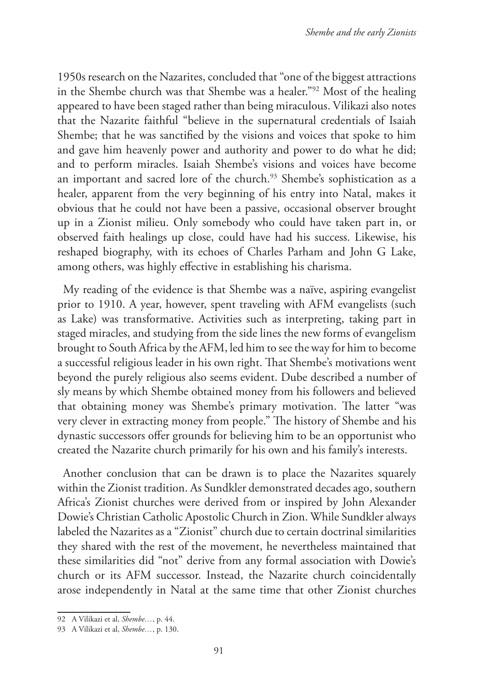1950s research on the Nazarites, concluded that "one of the biggest attractions in the Shembe church was that Shembe was a healer."92 Most of the healing appeared to have been staged rather than being miraculous. Vilikazi also notes that the Nazarite faithful "believe in the supernatural credentials of Isaiah Shembe; that he was sanctified by the visions and voices that spoke to him and gave him heavenly power and authority and power to do what he did; and to perform miracles. Isaiah Shembe's visions and voices have become an important and sacred lore of the church.<sup>93</sup> Shembe's sophistication as a healer, apparent from the very beginning of his entry into Natal, makes it obvious that he could not have been a passive, occasional observer brought up in a Zionist milieu. Only somebody who could have taken part in, or observed faith healings up close, could have had his success. Likewise, his reshaped biography, with its echoes of Charles Parham and John G Lake, among others, was highly effective in establishing his charisma.

My reading of the evidence is that Shembe was a naïve, aspiring evangelist prior to 1910. A year, however, spent traveling with AFM evangelists (such as Lake) was transformative. Activities such as interpreting, taking part in staged miracles, and studying from the side lines the new forms of evangelism brought to South Africa by the AFM, led him to see the way for him to become a successful religious leader in his own right. That Shembe's motivations went beyond the purely religious also seems evident. Dube described a number of sly means by which Shembe obtained money from his followers and believed that obtaining money was Shembe's primary motivation. The latter "was very clever in extracting money from people." The history of Shembe and his dynastic successors offer grounds for believing him to be an opportunist who created the Nazarite church primarily for his own and his family's interests.

Another conclusion that can be drawn is to place the Nazarites squarely within the Zionist tradition. As Sundkler demonstrated decades ago, southern Africa's Zionist churches were derived from or inspired by John Alexander Dowie's Christian Catholic Apostolic Church in Zion. While Sundkler always labeled the Nazarites as a "Zionist" church due to certain doctrinal similarities they shared with the rest of the movement, he nevertheless maintained that these similarities did "not" derive from any formal association with Dowie's church or its AFM successor. Instead, the Nazarite church coincidentally arose independently in Natal at the same time that other Zionist churches

<sup>92</sup> A Vilikazi et al, *Shembe…*, p. 44.

<sup>93</sup> A Vilikazi et al, *Shembe…*, p. 130.